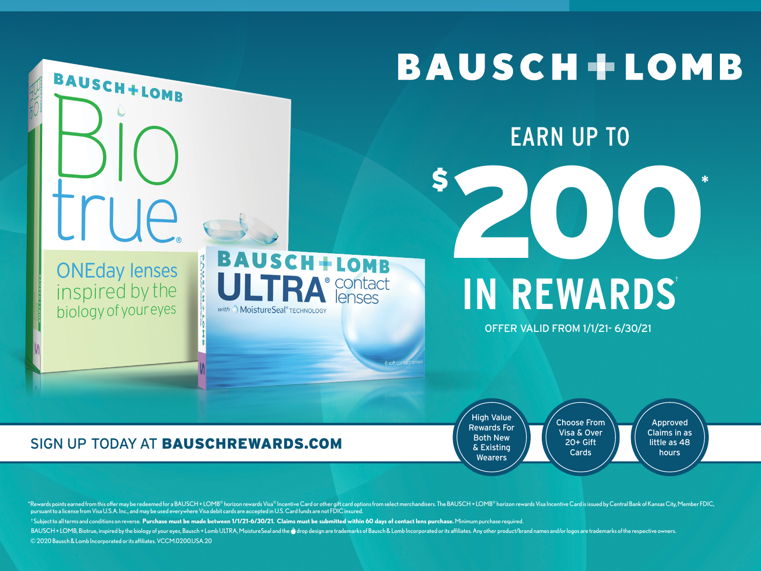

\*Rewards points earned from this offer may be redeemed for a BAUSCH + LOMB® horizon rewards Visa® Incentive Card or other gift card options from select merchandisers. The BAUSCH + LOMB® horizon rewards Visa hoentive Card i pursuant to a license from Visa U.S.A. Inc., and may be used everywhere Visa debit cards are accepted in U.S. Card funds are not FDIC insured. †Subjectto allterms and conditions on reverse. **Purchase must be made between 1/1/21-6/30/21. Claims must be submitted within 60 days of contact lens purchase.**Minimumpurchase required. BAUSCH + LOMB, Biotrue, inspired by the biology of your eyes, Bausch + Lomb ULTRA, MoistureSeal and the @ drop design are trademarks of Bausch & Lomb Incorporated or its affiliates. Any other product/brand names and/or log ©2020Bausch&Lomb Incorporated orits affiliates.VCCM.0200.USA.20